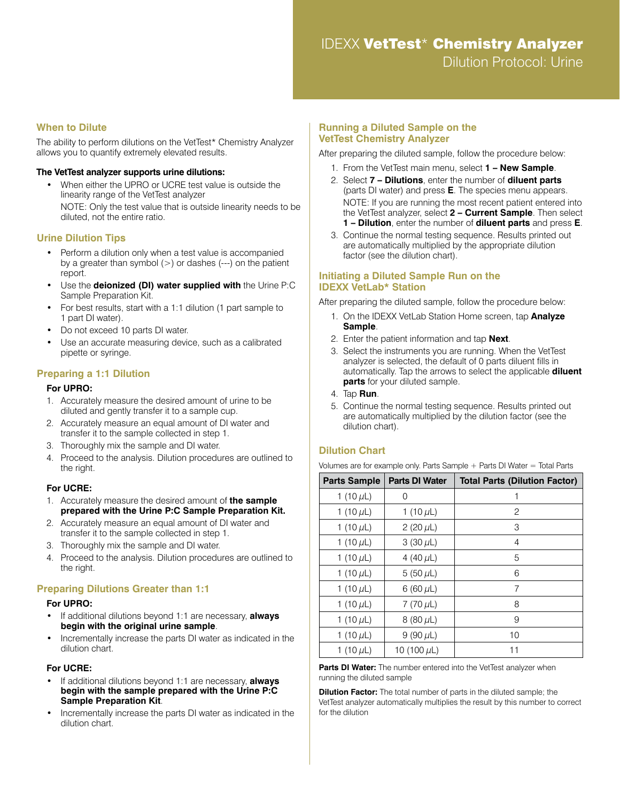## **When to Dilute**

The ability to perform dilutions on the VetTest\* Chemistry Analyzer allows you to quantify extremely elevated results.

#### **The VetTest analyzer supports urine dilutions:**

• When either the UPRO or UCRE test value is outside the linearity range of the VetTest analyzer NOTE: Only the test value that is outside linearity needs to be diluted, not the entire ratio.

### **Urine Dilution Tips**

- Perform a dilution only when a test value is accompanied by a greater than symbol  $(>)$  or dashes  $(---)$  on the patient report.
- Use the **deionized (DI) water supplied with** the Urine P:C Sample Preparation Kit.
- For best results, start with a 1:1 dilution (1 part sample to 1 part DI water).
- Do not exceed 10 parts DI water.
- Use an accurate measuring device, such as a calibrated pipette or syringe.

### **Preparing a 1:1 Dilution**

#### **For UPRO:**

- 1. Accurately measure the desired amount of urine to be diluted and gently transfer it to a sample cup.
- 2. Accurately measure an equal amount of DI water and transfer it to the sample collected in step 1.
- 3. Thoroughly mix the sample and DI water.
- 4. Proceed to the analysis. Dilution procedures are outlined to the right.

#### **For UCRE:**

- 1. Accurately measure the desired amount of **the sample prepared with the Urine P:C Sample Preparation Kit.**
- 2. Accurately measure an equal amount of DI water and transfer it to the sample collected in step 1.
- 3. Thoroughly mix the sample and DI water.
- 4. Proceed to the analysis. Dilution procedures are outlined to the right.

# **Preparing Dilutions Greater than 1:1**

#### **For UPRO:**

- If additional dilutions beyond 1:1 are necessary, **always begin with the original urine sample**.
- Incrementally increase the parts DI water as indicated in the dilution chart.

### **For UCRE:**

- If additional dilutions beyond 1:1 are necessary, **always begin with the sample prepared with the Urine P:C Sample Preparation Kit**.
- Incrementally increase the parts DI water as indicated in the dilution chart.

### **Running a Diluted Sample on the VetTest Chemistry Analyzer**

After preparing the diluted sample, follow the procedure below:

- 1. From the VetTest main menu, select **1 New Sample**.
- 2. Select **7 Dilutions**, enter the number of **diluent parts** (parts DI water) and press **E**. The species menu appears. NOTE: If you are running the most recent patient entered into the VetTest analyzer, select **2 – Current Sample**. Then select **1 – Dilution**, enter the number of **diluent parts** and press **E**.
- 3. Continue the normal testing sequence. Results printed out are automatically multiplied by the appropriate dilution factor (see the dilution chart).

## **Initiating a Diluted Sample Run on the IDEXX VetLab\* Station**

After preparing the diluted sample, follow the procedure below:

- 1. On the IDEXX VetLab Station Home screen, tap **Analyze Sample**.
- 2. Enter the patient information and tap **Next**.
- 3. Select the instruments you are running. When the VetTest analyzer is selected, the default of 0 parts diluent fills in automatically. Tap the arrows to select the applicable **diluent parts** for your diluted sample.
- 4. Tap **Run**.
- 5. Continue the normal testing sequence. Results printed out are automatically multiplied by the dilution factor (see the dilution chart).

# **Dilution Chart**

|  | Volumes are for example only. Parts Sample + Parts DI Water = Total Parts |  |
|--|---------------------------------------------------------------------------|--|
|  |                                                                           |  |

| <b>Parts Sample</b> | <b>Parts DI Water</b> | <b>Total Parts (Dilution Factor)</b> |
|---------------------|-----------------------|--------------------------------------|
| 1 (10 $\mu$ L)      | 0                     |                                      |
| 1 (10 $\mu$ L)      | 1 (10 $\mu$ L)        | 2                                    |
| 1 $(10 \,\mu L)$    | 2 (20 $\mu$ L)        | 3                                    |
| 1 $(10 \,\mu L)$    | 3 (30 $\mu$ L)        | 4                                    |
| 1 $(10 \,\mu L)$    | 4 $(40 \mu L)$        | 5                                    |
| 1 $(10 \,\mu L)$    | 5 $(50 \mu L)$        | 6                                    |
| 1 $(10 \,\mu L)$    | 6 (60 $\mu$ L)        | 7                                    |
| 1 $(10 \,\mu L)$    | 7 $(70 \mu L)$        | 8                                    |
| 1 $(10 \,\mu L)$    | 8 (80 $\mu$ L)        | 9                                    |
| 1 (10 $\mu$ L)      | 9 $(90 \mu L)$        | 10                                   |
| 1 $(10 \mu L)$      | 10 (100 µL)           | 11                                   |

**Parts DI Water:** The number entered into the VetTest analyzer when running the diluted sample

**Dilution Factor:** The total number of parts in the diluted sample; the VetTest analyzer automatically multiplies the result by this number to correct for the dilution